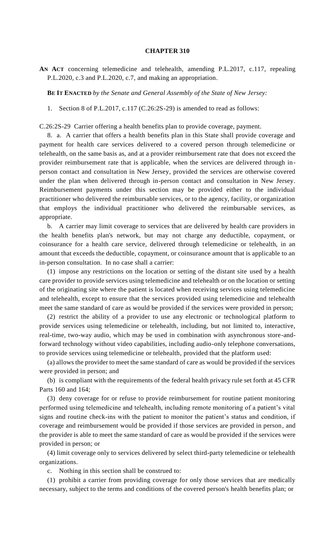## **CHAPTER 310**

**AN ACT** concerning telemedicine and telehealth, amending P.L.2017, c.117, repealing P.L.2020, c.3 and P.L.2020, c.7, and making an appropriation.

**BE IT ENACTED** *by the Senate and General Assembly of the State of New Jersey:*

1. Section 8 of P.L.2017, c.117 (C.26:2S-29) is amended to read as follows:

C.26:2S-29 Carrier offering a health benefits plan to provide coverage, payment.

8. a. A carrier that offers a health benefits plan in this State shall provide coverage and payment for health care services delivered to a covered person through telemedicine or telehealth, on the same basis as, and at a provider reimbursement rate that does not exceed the provider reimbursement rate that is applicable, when the services are delivered through inperson contact and consultation in New Jersey, provided the services are otherwise covered under the plan when delivered through in-person contact and consultation in New Jersey. Reimbursement payments under this section may be provided either to the individual practitioner who delivered the reimbursable services, or to the agency, facility, or organization that employs the individual practitioner who delivered the reimbursable services, as appropriate.

b. A carrier may limit coverage to services that are delivered by health care providers in the health benefits plan's network, but may not charge any deductible, copayment, or coinsurance for a health care service, delivered through telemedicine or telehealth, in an amount that exceeds the deductible, copayment, or coinsurance amount that is applicable to an in-person consultation. In no case shall a carrier:

(1) impose any restrictions on the location or setting of the distant site used by a health care provider to provide services using telemedicine and telehealth or on the location or setting of the originating site where the patient is located when receiving services using telemedicine and telehealth, except to ensure that the services provided using telemedicine and telehealth meet the same standard of care as would be provided if the services were provided in person;

(2) restrict the ability of a provider to use any electronic or technological platform to provide services using telemedicine or telehealth, including, but not limited to, interactive, real-time, two-way audio, which may be used in combination with asynchronous store-andforward technology without video capabilities, including audio-only telephone conversations, to provide services using telemedicine or telehealth, provided that the platform used:

(a) allows the provider to meet the same standard of care as would be provided if the services were provided in person; and

(b) is compliant with the requirements of the federal health privacy rule set forth at 45 CFR Parts 160 and 164;

(3) deny coverage for or refuse to provide reimbursement for routine patient monitoring performed using telemedicine and telehealth, including remote monitoring of a patient's vital signs and routine check-ins with the patient to monitor the patient's status and condition, if coverage and reimbursement would be provided if those services are provided in person, and the provider is able to meet the same standard of care as would be provided if the services were provided in person; or

(4) limit coverage only to services delivered by select third-party telemedicine or telehealth organizations.

c. Nothing in this section shall be construed to:

(1) prohibit a carrier from providing coverage for only those services that are medically necessary, subject to the terms and conditions of the covered person's health benefits plan; or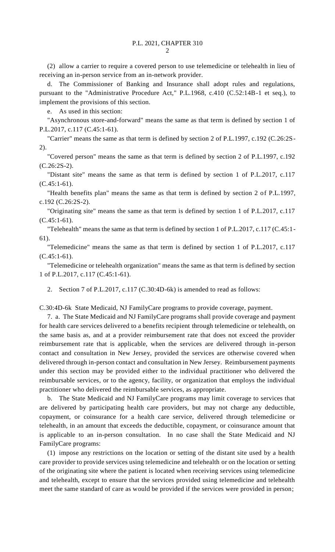(2) allow a carrier to require a covered person to use telemedicine or telehealth in lieu of receiving an in-person service from an in-network provider.

d. The Commissioner of Banking and Insurance shall adopt rules and regulations, pursuant to the "Administrative Procedure Act," P.L.1968, c.410 (C.52:14B-1 et seq.), to implement the provisions of this section.

e. As used in this section:

"Asynchronous store-and-forward" means the same as that term is defined by section 1 of P.L.2017, c.117 (C.45:1-61).

"Carrier" means the same as that term is defined by section 2 of P.L.1997, c.192 (C.26:2S-2).

"Covered person" means the same as that term is defined by section 2 of P.L.1997, c.192 (C.26:2S-2).

"Distant site" means the same as that term is defined by section 1 of P.L.2017, c.117  $(C.45:1-61)$ .

"Health benefits plan" means the same as that term is defined by section 2 of P.L.1997, c.192 (C.26:2S-2).

"Originating site" means the same as that term is defined by section 1 of P.L.2017, c.117 (C.45:1-61).

"Telehealth" means the same as that term is defined by section 1 of P.L.2017, c.117 (C.45:1- 61).

"Telemedicine" means the same as that term is defined by section 1 of P.L.2017, c.117  $(C.45:1-61)$ .

"Telemedicine or telehealth organization" means the same as that term is defined by section 1 of P.L.2017, c.117 (C.45:1-61).

2. Section 7 of P.L.2017, c.117 (C.30:4D-6k) is amended to read as follows:

C.30:4D-6k State Medicaid, NJ FamilyCare programs to provide coverage, payment.

7. a. The State Medicaid and NJ FamilyCare programs shall provide coverage and payment for health care services delivered to a benefits recipient through telemedicine or telehealth, on the same basis as, and at a provider reimbursement rate that does not exceed the provider reimbursement rate that is applicable, when the services are delivered through in-person contact and consultation in New Jersey, provided the services are otherwise covered when delivered through in-person contact and consultation in New Jersey. Reimbursement payments under this section may be provided either to the individual practitioner who delivered the reimbursable services, or to the agency, facility, or organization that employs the individual practitioner who delivered the reimbursable services, as appropriate.

b. The State Medicaid and NJ FamilyCare programs may limit coverage to services that are delivered by participating health care providers, but may not charge any deductible, copayment, or coinsurance for a health care service, delivered through telemedicine or telehealth, in an amount that exceeds the deductible, copayment, or coinsurance amount that is applicable to an in-person consultation. In no case shall the State Medicaid and NJ FamilyCare programs:

(1) impose any restrictions on the location or setting of the distant site used by a health care provider to provide services using telemedicine and telehealth or on the location or setting of the originating site where the patient is located when receiving services using telemedicine and telehealth, except to ensure that the services provided using telemedicine and telehealth meet the same standard of care as would be provided if the services were provided in person;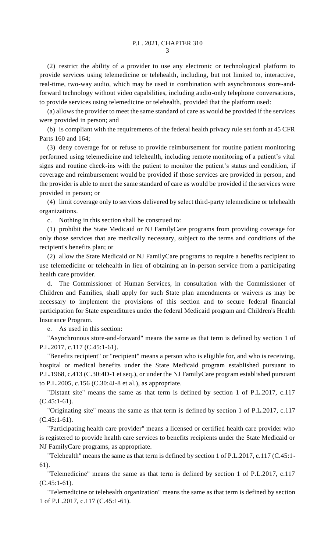(2) restrict the ability of a provider to use any electronic or technological platform to provide services using telemedicine or telehealth, including, but not limited to, interactive, real-time, two-way audio, which may be used in combination with asynchronous store-andforward technology without video capabilities, including audio-only telephone conversations, to provide services using telemedicine or telehealth, provided that the platform used:

(a) allows the provider to meet the same standard of care as would be provided if the services were provided in person; and

(b) is compliant with the requirements of the federal health privacy rule set forth at 45 CFR Parts 160 and 164;

(3) deny coverage for or refuse to provide reimbursement for routine patient monitoring performed using telemedicine and telehealth, including remote monitoring of a patient's vital signs and routine check-ins with the patient to monitor the patient's status and condition, if coverage and reimbursement would be provided if those services are provided in person, and the provider is able to meet the same standard of care as would be provided if the services were provided in person; or

(4) limit coverage only to services delivered by select third-party telemedicine or telehealth organizations.

c. Nothing in this section shall be construed to:

(1) prohibit the State Medicaid or NJ FamilyCare programs from providing coverage for only those services that are medically necessary, subject to the terms and conditions of the recipient's benefits plan; or

(2) allow the State Medicaid or NJ FamilyCare programs to require a benefits recipient to use telemedicine or telehealth in lieu of obtaining an in-person service from a participating health care provider.

d. The Commissioner of Human Services, in consultation with the Commissioner of Children and Families, shall apply for such State plan amendments or waivers as may be necessary to implement the provisions of this section and to secure federal financial participation for State expenditures under the federal Medicaid program and Children's Health Insurance Program.

e. As used in this section:

"Asynchronous store-and-forward" means the same as that term is defined by section 1 of P.L.2017, c.117 (C.45:1-61).

"Benefits recipient" or "recipient" means a person who is eligible for, and who is receiving, hospital or medical benefits under the State Medicaid program established pursuant to P.L.1968, c.413 (C.30:4D-1 et seq.), or under the NJ FamilyCare program established pursuant to P.L.2005, c.156 (C.30:4J-8 et al.), as appropriate.

"Distant site" means the same as that term is defined by section 1 of P.L.2017, c.117 (C.45:1-61).

"Originating site" means the same as that term is defined by section 1 of P.L.2017, c.117 (C.45:1-61).

"Participating health care provider" means a licensed or certified health care provider who is registered to provide health care services to benefits recipients under the State Medicaid or NJ FamilyCare programs, as appropriate.

"Telehealth" means the same as that term is defined by section 1 of P.L.2017, c.117 (C.45:1- 61).

"Telemedicine" means the same as that term is defined by section 1 of P.L.2017, c.117  $(C.45:1-61)$ .

"Telemedicine or telehealth organization" means the same as that term is defined by section 1 of P.L.2017, c.117 (C.45:1-61).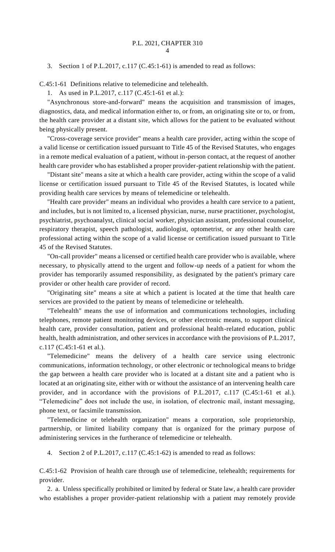3. Section 1 of P.L.2017, c.117 (C.45:1-61) is amended to read as follows:

C.45:1-61 Definitions relative to telemedicine and telehealth.

1. As used in P.L.2017, c.117 (C.45:1-61 et al.):

"Asynchronous store-and-forward" means the acquisition and transmission of images, diagnostics, data, and medical information either to, or from, an originating site or to, or from, the health care provider at a distant site, which allows for the patient to be evaluated without being physically present.

"Cross-coverage service provider" means a health care provider, acting within the scope of a valid license or certification issued pursuant to Title 45 of the Revised Statutes, who engages in a remote medical evaluation of a patient, without in-person contact, at the request of another health care provider who has established a proper provider-patient relationship with the patient.

"Distant site" means a site at which a health care provider, acting within the scope of a valid license or certification issued pursuant to Title 45 of the Revised Statutes, is located while providing health care services by means of telemedicine or telehealth.

"Health care provider" means an individual who provides a health care service to a patient, and includes, but is not limited to, a licensed physician, nurse, nurse practitioner, psychologist, psychiatrist, psychoanalyst, clinical social worker, physician assistant, professional counselor, respiratory therapist, speech pathologist, audiologist, optometrist, or any other health care professional acting within the scope of a valid license or certification issued pursuant to Title 45 of the Revised Statutes.

"On-call provider" means a licensed or certified health care provider who is available, where necessary, to physically attend to the urgent and follow-up needs of a patient for whom the provider has temporarily assumed responsibility, as designated by the patient's primary care provider or other health care provider of record.

"Originating site" means a site at which a patient is located at the time that health care services are provided to the patient by means of telemedicine or telehealth.

"Telehealth" means the use of information and communications technologies, including telephones, remote patient monitoring devices, or other electronic means, to support clinical health care, provider consultation, patient and professional health-related education, public health, health administration, and other services in accordance with the provisions of P.L.2017, c.117 (C.45:1-61 et al.).

"Telemedicine" means the delivery of a health care service using electronic communications, information technology, or other electronic or technological means to bridge the gap between a health care provider who is located at a distant site and a patient who is located at an originating site, either with or without the assistance of an intervening health care provider, and in accordance with the provisions of P.L.2017, c.117 (C.45:1-61 et al.). "Telemedicine" does not include the use, in isolation, of electronic mail, instant messaging, phone text, or facsimile transmission.

"Telemedicine or telehealth organization" means a corporation, sole proprietorship, partnership, or limited liability company that is organized for the primary purpose of administering services in the furtherance of telemedicine or telehealth.

4. Section 2 of P.L.2017, c.117 (C.45:1-62) is amended to read as follows:

C.45:1-62 Provision of health care through use of telemedicine, telehealth; requirements for provider.

2. a. Unless specifically prohibited or limited by federal or State law, a health care provider who establishes a proper provider-patient relationship with a patient may remotely provide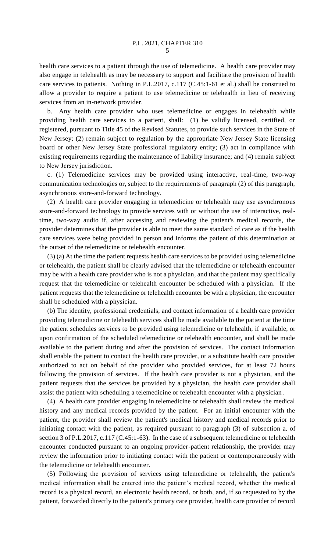health care services to a patient through the use of telemedicine. A health care provider may also engage in telehealth as may be necessary to support and facilitate the provision of health care services to patients. Nothing in P.L.2017, c.117 (C.45:1-61 et al.) shall be construed to allow a provider to require a patient to use telemedicine or telehealth in lieu of receiving services from an in-network provider.

b. Any health care provider who uses telemedicine or engages in telehealth while providing health care services to a patient, shall: (1) be validly licensed, certified, or registered, pursuant to Title 45 of the Revised Statutes, to provide such services in the State of New Jersey; (2) remain subject to regulation by the appropriate New Jersey State licensing board or other New Jersey State professional regulatory entity; (3) act in compliance with existing requirements regarding the maintenance of liability insurance; and (4) remain subject to New Jersey jurisdiction.

c. (1) Telemedicine services may be provided using interactive, real-time, two-way communication technologies or, subject to the requirements of paragraph (2) of this paragraph, asynchronous store-and-forward technology.

(2) A health care provider engaging in telemedicine or telehealth may use asynchronous store-and-forward technology to provide services with or without the use of interactive, realtime, two-way audio if, after accessing and reviewing the patient's medical records, the provider determines that the provider is able to meet the same standard of care as if the health care services were being provided in person and informs the patient of this determination at the outset of the telemedicine or telehealth encounter.

(3) (a) At the time the patient requests health care services to be provided using telemedicine or telehealth, the patient shall be clearly advised that the telemedicine or telehealth encounter may be with a health care provider who is not a physician, and that the patient may specifically request that the telemedicine or telehealth encounter be scheduled with a physician. If the patient requests that the telemedicine or telehealth encounter be with a physician, the encounter shall be scheduled with a physician.

(b) The identity, professional credentials, and contact information of a health care provider providing telemedicine or telehealth services shall be made available to the patient at the time the patient schedules services to be provided using telemedicine or telehealth, if available, or upon confirmation of the scheduled telemedicine or telehealth encounter, and shall be made available to the patient during and after the provision of services. The contact information shall enable the patient to contact the health care provider, or a substitute health care provider authorized to act on behalf of the provider who provided services, for at least 72 hours following the provision of services. If the health care provider is not a physician, and the patient requests that the services be provided by a physician, the health care provider shall assist the patient with scheduling a telemedicine or telehealth encounter with a physician.

(4) A health care provider engaging in telemedicine or telehealth shall review the medical history and any medical records provided by the patient. For an initial encounter with the patient, the provider shall review the patient's medical history and medical records prior to initiating contact with the patient, as required pursuant to paragraph (3) of subsection a. of section 3 of P.L.2017, c.117 (C.45:1-63). In the case of a subsequent telemedicine or telehealth encounter conducted pursuant to an ongoing provider-patient relationship, the provider may review the information prior to initiating contact with the patient or contemporaneously with the telemedicine or telehealth encounter.

(5) Following the provision of services using telemedicine or telehealth, the patient's medical information shall be entered into the patient's medical record, whether the medical record is a physical record, an electronic health record, or both, and, if so requested to by the patient, forwarded directly to the patient's primary care provider, health care provider of record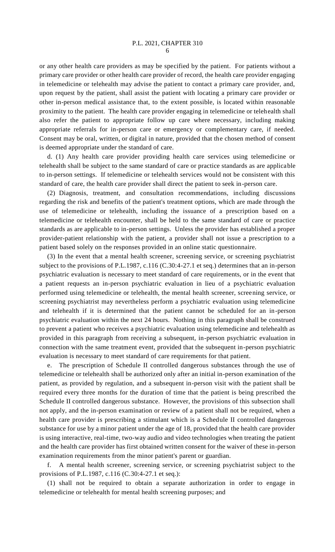or any other health care providers as may be specified by the patient. For patients without a primary care provider or other health care provider of record, the health care provider engaging in telemedicine or telehealth may advise the patient to contact a primary care provider, and, upon request by the patient, shall assist the patient with locating a primary care provider or other in-person medical assistance that, to the extent possible, is located within reasonable proximity to the patient. The health care provider engaging in telemedicine or telehealth shall also refer the patient to appropriate follow up care where necessary, including making appropriate referrals for in-person care or emergency or complementary care, if needed. Consent may be oral, written, or digital in nature, provided that the chosen method of consent is deemed appropriate under the standard of care.

d. (1) Any health care provider providing health care services using telemedicine or telehealth shall be subject to the same standard of care or practice standards as are applicable to in-person settings. If telemedicine or telehealth services would not be consistent with this standard of care, the health care provider shall direct the patient to seek in-person care.

(2) Diagnosis, treatment, and consultation recommendations, including discussions regarding the risk and benefits of the patient's treatment options, which are made through the use of telemedicine or telehealth, including the issuance of a prescription based on a telemedicine or telehealth encounter, shall be held to the same standard of care or practice standards as are applicable to in-person settings. Unless the provider has established a proper provider-patient relationship with the patient, a provider shall not issue a prescription to a patient based solely on the responses provided in an online static questionnaire.

(3) In the event that a mental health screener, screening service, or screening psychiatrist subject to the provisions of P.L.1987, c.116 (C.30:4-27.1 et seq.) determines that an in-person psychiatric evaluation is necessary to meet standard of care requirements, or in the event that a patient requests an in-person psychiatric evaluation in lieu of a psychiatric evaluation performed using telemedicine or telehealth, the mental health screener, screening service, or screening psychiatrist may nevertheless perform a psychiatric evaluation using telemedicine and telehealth if it is determined that the patient cannot be scheduled for an in-person psychiatric evaluation within the next 24 hours. Nothing in this paragraph shall be construed to prevent a patient who receives a psychiatric evaluation using telemedicine and telehealth as provided in this paragraph from receiving a subsequent, in-person psychiatric evaluation in connection with the same treatment event, provided that the subsequent in-person psychiatric evaluation is necessary to meet standard of care requirements for that patient.

e. The prescription of Schedule II controlled dangerous substances through the use of telemedicine or telehealth shall be authorized only after an initial in-person examination of the patient, as provided by regulation, and a subsequent in-person visit with the patient shall be required every three months for the duration of time that the patient is being prescribed the Schedule II controlled dangerous substance. However, the provisions of this subsection shall not apply, and the in-person examination or review of a patient shall not be required, when a health care provider is prescribing a stimulant which is a Schedule II controlled dangerous substance for use by a minor patient under the age of 18, provided that the health care provider is using interactive, real-time, two-way audio and video technologies when treating the patient and the health care provider has first obtained written consent for the waiver of these in-person examination requirements from the minor patient's parent or guardian.

f. A mental health screener, screening service, or screening psychiatrist subject to the provisions of P.L.1987, c.116 (C.30:4-27.1 et seq.):

(1) shall not be required to obtain a separate authorization in order to engage in telemedicine or telehealth for mental health screening purposes; and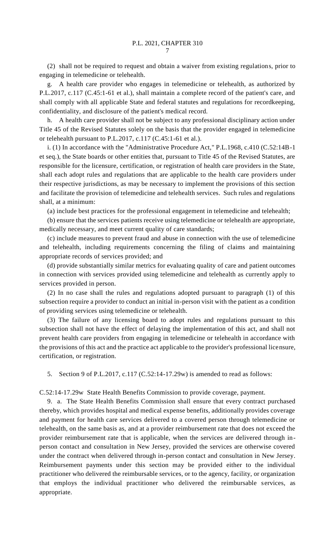(2) shall not be required to request and obtain a waiver from existing regulations, prior to engaging in telemedicine or telehealth.

g. A health care provider who engages in telemedicine or telehealth, as authorized by P.L.2017, c.117 (C.45:1-61 et al.), shall maintain a complete record of the patient's care, and shall comply with all applicable State and federal statutes and regulations for recordkeeping, confidentiality, and disclosure of the patient's medical record.

h. A health care provider shall not be subject to any professional disciplinary action under Title 45 of the Revised Statutes solely on the basis that the provider engaged in telemedicine or telehealth pursuant to P.L.2017, c.117 (C.45:1-61 et al.).

i. (1) In accordance with the "Administrative Procedure Act," P.L.1968, c.410 (C.52:14B-1 et seq.), the State boards or other entities that, pursuant to Title 45 of the Revised Statutes, are responsible for the licensure, certification, or registration of health care providers in the State, shall each adopt rules and regulations that are applicable to the health care providers under their respective jurisdictions, as may be necessary to implement the provisions of this section and facilitate the provision of telemedicine and telehealth services. Such rules and regulations shall, at a minimum:

(a) include best practices for the professional engagement in telemedicine and telehealth;

(b) ensure that the services patients receive using telemedicine or telehealth are appropriate, medically necessary, and meet current quality of care standards;

(c) include measures to prevent fraud and abuse in connection with the use of telemedicine and telehealth, including requirements concerning the filing of claims and maintaining appropriate records of services provided; and

(d) provide substantially similar metrics for evaluating quality of care and patient outcomes in connection with services provided using telemedicine and telehealth as currently apply to services provided in person.

(2) In no case shall the rules and regulations adopted pursuant to paragraph (1) of this subsection require a provider to conduct an initial in-person visit with the patient as a condition of providing services using telemedicine or telehealth.

(3) The failure of any licensing board to adopt rules and regulations pursuant to this subsection shall not have the effect of delaying the implementation of this act, and shall not prevent health care providers from engaging in telemedicine or telehealth in accordance with the provisions of this act and the practice act applicable to the provider's professional licensure, certification, or registration.

5. Section 9 of P.L.2017, c.117 (C.52:14-17.29w) is amended to read as follows:

C.52:14-17.29w State Health Benefits Commission to provide coverage, payment.

9. a. The State Health Benefits Commission shall ensure that every contract purchased thereby, which provides hospital and medical expense benefits, additionally provides coverage and payment for health care services delivered to a covered person through telemedicine or telehealth, on the same basis as, and at a provider reimbursement rate that does not exceed the provider reimbursement rate that is applicable, when the services are delivered through inperson contact and consultation in New Jersey, provided the services are otherwise covered under the contract when delivered through in-person contact and consultation in New Jersey. Reimbursement payments under this section may be provided either to the individual practitioner who delivered the reimbursable services, or to the agency, facility, or organization that employs the individual practitioner who delivered the reimbursable services, as appropriate.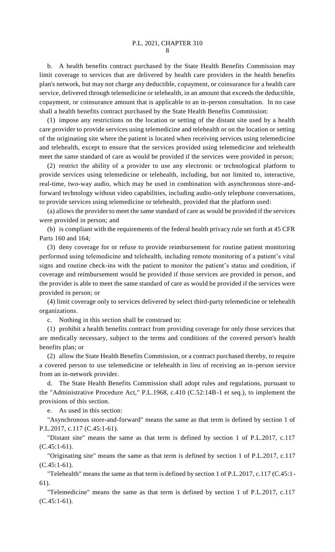b. A health benefits contract purchased by the State Health Benefits Commission may limit coverage to services that are delivered by health care providers in the health benefits plan's network, but may not charge any deductible, copayment, or coinsurance for a health care service, delivered through telemedicine or telehealth, in an amount that exceeds the deductible, copayment, or coinsurance amount that is applicable to an in-person consultation. In no case shall a health benefits contract purchased by the State Health Benefits Commission:

(1) impose any restrictions on the location or setting of the distant site used by a health care provider to provide services using telemedicine and telehealth or on the location or setting of the originating site where the patient is located when receiving services using telemedicine and telehealth, except to ensure that the services provided using telemedicine and telehealth meet the same standard of care as would be provided if the services were provided in person;

(2) restrict the ability of a provider to use any electronic or technological platform to provide services using telemedicine or telehealth, including, but not limited to, interactive, real-time, two-way audio, which may be used in combination with asynchronous store-andforward technology without video capabilities, including audio-only telephone conversations, to provide services using telemedicine or telehealth, provided that the platform used:

(a) allows the provider to meet the same standard of care as would be provided if the services were provided in person; and

(b) is compliant with the requirements of the federal health privacy rule set forth at 45 CFR Parts 160 and 164;

(3) deny coverage for or refuse to provide reimbursement for routine patient monitoring performed using telemedicine and telehealth, including remote monitoring of a patient's vital signs and routine check-ins with the patient to monitor the patient's status and condition, if coverage and reimbursement would be provided if those services are provided in person, and the provider is able to meet the same standard of care as would be provided if the services were provided in person; or

(4) limit coverage only to services delivered by select third-party telemedicine or telehealth organizations.

c. Nothing in this section shall be construed to:

(1) prohibit a health benefits contract from providing coverage for only those services that are medically necessary, subject to the terms and conditions of the covered person's health benefits plan; or

(2) allow the State Health Benefits Commission, or a contract purchased thereby, to require a covered person to use telemedicine or telehealth in lieu of receiving an in-person service from an in-network provider.

d. The State Health Benefits Commission shall adopt rules and regulations, pursuant to the "Administrative Procedure Act," P.L.1968, c.410 (C.52:14B-1 et seq.), to implement the provisions of this section.

e. As used in this section:

"Asynchronous store-and-forward" means the same as that term is defined by section 1 of P.L.2017, c.117 (C.45:1-61).

"Distant site" means the same as that term is defined by section 1 of P.L.2017, c.117 (C.45:1-61).

"Originating site" means the same as that term is defined by section 1 of P.L.2017, c.117  $(C.45:1-61)$ .

"Telehealth" means the same as that term is defined by section 1 of P.L.2017, c.117 (C.45:1- 61).

"Telemedicine" means the same as that term is defined by section 1 of P.L.2017, c.117  $(C.45:1-61)$ .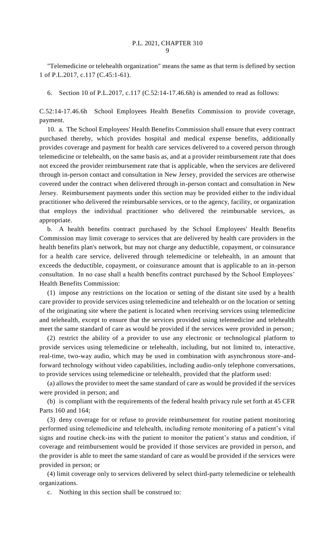"Telemedicine or telehealth organization" means the same as that term is defined by section 1 of P.L.2017, c.117 (C.45:1-61).

6. Section 10 of P.L.2017, c.117 (C.52:14-17.46.6h) is amended to read as follows:

C.52:14-17.46.6h School Employees Health Benefits Commission to provide coverage, payment.

10. a. The School Employees' Health Benefits Commission shall ensure that every contract purchased thereby, which provides hospital and medical expense benefits, additionally provides coverage and payment for health care services delivered to a covered person through telemedicine or telehealth, on the same basis as, and at a provider reimbursement rate that does not exceed the provider reimbursement rate that is applicable, when the services are delivered through in-person contact and consultation in New Jersey, provided the services are otherwise covered under the contract when delivered through in-person contact and consultation in New Jersey. Reimbursement payments under this section may be provided either to the individual practitioner who delivered the reimbursable services, or to the agency, facility, or organization that employs the individual practitioner who delivered the reimbursable services, as appropriate.

b. A health benefits contract purchased by the School Employees' Health Benefits Commission may limit coverage to services that are delivered by health care providers in the health benefits plan's network, but may not charge any deductible, copayment, or coinsurance for a health care service, delivered through telemedicine or telehealth, in an amount that exceeds the deductible, copayment, or coinsurance amount that is applicable to an in-person consultation. In no case shall a health benefits contract purchased by the School Employees' Health Benefits Commission:

(1) impose any restrictions on the location or setting of the distant site used by a health care provider to provide services using telemedicine and telehealth or on the location or setting of the originating site where the patient is located when receiving services using telemedicine and telehealth, except to ensure that the services provided using telemedicine and telehealth meet the same standard of care as would be provided if the services were provided in person;

(2) restrict the ability of a provider to use any electronic or technological platform to provide services using telemedicine or telehealth, including, but not limited to, interactive, real-time, two-way audio, which may be used in combination with asynchronous store-andforward technology without video capabilities, including audio-only telephone conversations, to provide services using telemedicine or telehealth, provided that the platform used:

(a) allows the provider to meet the same standard of care as would be provided if the services were provided in person; and

(b) is compliant with the requirements of the federal health privacy rule set forth at 45 CFR Parts 160 and 164;

(3) deny coverage for or refuse to provide reimbursement for routine patient monitoring performed using telemedicine and telehealth, including remote monitoring of a patient's vital signs and routine check-ins with the patient to monitor the patient's status and condition, if coverage and reimbursement would be provided if those services are provided in person, and the provider is able to meet the same standard of care as would be provided if the services were provided in person; or

(4) limit coverage only to services delivered by select third-party telemedicine or telehealth organizations.

c. Nothing in this section shall be construed to: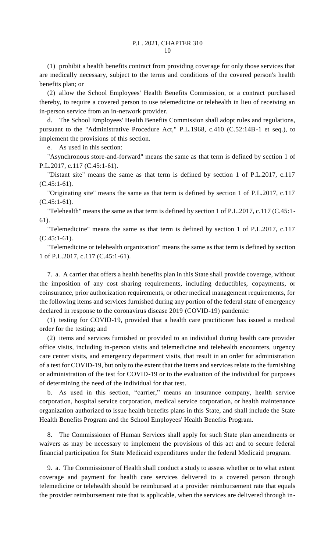(1) prohibit a health benefits contract from providing coverage for only those services that are medically necessary, subject to the terms and conditions of the covered person's health benefits plan; or

(2) allow the School Employees' Health Benefits Commission, or a contract purchased thereby, to require a covered person to use telemedicine or telehealth in lieu of receiving an in-person service from an in-network provider.

d. The School Employees' Health Benefits Commission shall adopt rules and regulations, pursuant to the "Administrative Procedure Act," P.L.1968, c.410 (C.52:14B-1 et seq.), to implement the provisions of this section.

e. As used in this section:

"Asynchronous store-and-forward" means the same as that term is defined by section 1 of P.L.2017, c.117 (C.45:1-61).

"Distant site" means the same as that term is defined by section 1 of P.L.2017, c.117 (C.45:1-61).

"Originating site" means the same as that term is defined by section 1 of P.L.2017, c.117  $(C.45:1-61)$ .

"Telehealth" means the same as that term is defined by section 1 of P.L.2017, c.117 (C.45:1- 61).

"Telemedicine" means the same as that term is defined by section 1 of P.L.2017, c.117  $(C.45:1-61)$ .

"Telemedicine or telehealth organization" means the same as that term is defined by section 1 of P.L.2017, c.117 (C.45:1-61).

7. a. A carrier that offers a health benefits plan in this State shall provide coverage, without the imposition of any cost sharing requirements, including deductibles, copayments, or coinsurance, prior authorization requirements, or other medical management requirements, for the following items and services furnished during any portion of the federal state of emergency declared in response to the coronavirus disease 2019 (COVID-19) pandemic:

(1) testing for COVID-19, provided that a health care practitioner has issued a medical order for the testing; and

(2) items and services furnished or provided to an individual during health care provider office visits, including in-person visits and telemedicine and telehealth encounters, urgency care center visits, and emergency department visits, that result in an order for administration of a test for COVID-19, but only to the extent that the items and services relate to the furnishing or administration of the test for COVID-19 or to the evaluation of the individual for purposes of determining the need of the individual for that test.

b. As used in this section, "carrier," means an insurance company, health service corporation, hospital service corporation, medical service corporation, or health maintenance organization authorized to issue health benefits plans in this State, and shall include the State Health Benefits Program and the School Employees' Health Benefits Program.

8. The Commissioner of Human Services shall apply for such State plan amendments or waivers as may be necessary to implement the provisions of this act and to secure federal financial participation for State Medicaid expenditures under the federal Medicaid program.

9. a. The Commissioner of Health shall conduct a study to assess whether or to what extent coverage and payment for health care services delivered to a covered person through telemedicine or telehealth should be reimbursed at a provider reimbursement rate that equals the provider reimbursement rate that is applicable, when the services are delivered through in-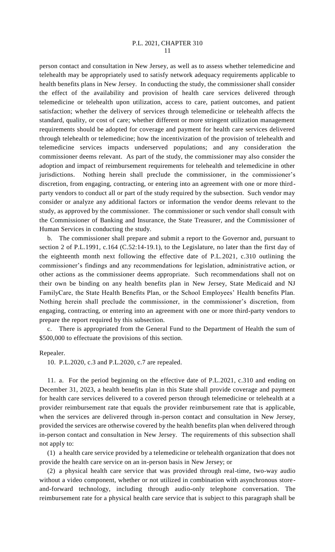## P.L. 2021, CHAPTER 310 11

person contact and consultation in New Jersey, as well as to assess whether telemedicine and telehealth may be appropriately used to satisfy network adequacy requirements applicable to health benefits plans in New Jersey. In conducting the study, the commissioner shall consider the effect of the availability and provision of health care services delivered through telemedicine or telehealth upon utilization, access to care, patient outcomes, and patient satisfaction; whether the delivery of services through telemedicine or telehealth affects the standard, quality, or cost of care; whether different or more stringent utilization management requirements should be adopted for coverage and payment for health care services delivered through telehealth or telemedicine; how the incentivization of the provision of telehealth and telemedicine services impacts underserved populations; and any consideration the commissioner deems relevant. As part of the study, the commissioner may also consider the adoption and impact of reimbursement requirements for telehealth and telemedicine in other jurisdictions. Nothing herein shall preclude the commissioner, in the commissioner's discretion, from engaging, contracting, or entering into an agreement with one or more thirdparty vendors to conduct all or part of the study required by the subsection. Such vendor may consider or analyze any additional factors or information the vendor deems relevant to the study, as approved by the commissioner. The commissioner or such vendor shall consult with the Commissioner of Banking and Insurance, the State Treasurer, and the Commissioner of Human Services in conducting the study.

b. The commissioner shall prepare and submit a report to the Governor and, pursuant to section 2 of P.L.1991, c.164 (C.52:14-19.1), to the Legislature, no later than the first day of the eighteenth month next following the effective date of P.L.2021, c.310 outlining the commissioner's findings and any recommendations for legislation, administrative action, or other actions as the commissioner deems appropriate. Such recommendations shall not on their own be binding on any health benefits plan in New Jersey, State Medicaid and NJ FamilyCare, the State Health Benefits Plan, or the School Employees' Health benefits Plan. Nothing herein shall preclude the commissioner, in the commissioner's discretion, from engaging, contracting, or entering into an agreement with one or more third-party vendors to prepare the report required by this subsection.

There is appropriated from the General Fund to the Department of Health the sum of \$500,000 to effectuate the provisions of this section.

## Repealer.

10. P.L.2020, c.3 and P.L.2020, c.7 are repealed.

11. a. For the period beginning on the effective date of P.L.2021, c.310 and ending on December 31, 2023, a health benefits plan in this State shall provide coverage and payment for health care services delivered to a covered person through telemedicine or telehealth at a provider reimbursement rate that equals the provider reimbursement rate that is applicable, when the services are delivered through in-person contact and consultation in New Jersey, provided the services are otherwise covered by the health benefits plan when delivered through in-person contact and consultation in New Jersey. The requirements of this subsection shall not apply to:

(1) a health care service provided by a telemedicine or telehealth organization that does not provide the health care service on an in-person basis in New Jersey; or

(2) a physical health care service that was provided through real-time, two-way audio without a video component, whether or not utilized in combination with asynchronous storeand-forward technology, including through audio-only telephone conversation. The reimbursement rate for a physical health care service that is subject to this paragraph shall be